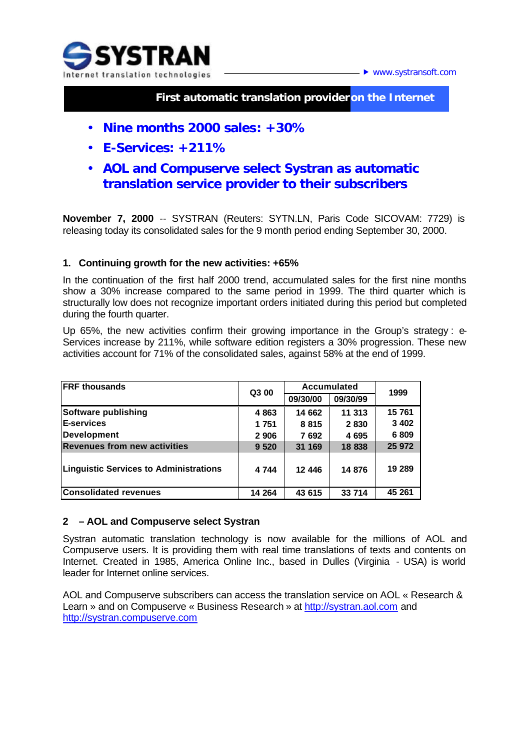



## **First automatic translation provider on the Internet**

- **Nine months 2000 sales: +30%**
- **E-Services: +211%**
- **AOL and Compuserve select Systran as automatic translation service provider to their subscribers**

**November 7, 2000** -- SYSTRAN (Reuters: SYTN.LN, Paris Code SICOVAM: 7729) is releasing today its consolidated sales for the 9 month period ending September 30, 2000.

## **1. Continuing growth for the new activities: +65%**

In the continuation of the first half 2000 trend, accumulated sales for the first nine months show a 30% increase compared to the same period in 1999. The third quarter which is structurally low does not recognize important orders initiated during this period but completed during the fourth quarter.

Up 65%, the new activities confirm their growing importance in the Group's strategy : e-Services increase by 211%, while software edition registers a 30% progression. These new activities account for 71% of the consolidated sales, against 58% at the end of 1999.

| <b>FRF</b> thousands                          | Q3 00   | <b>Accumulated</b> |          | 1999    |
|-----------------------------------------------|---------|--------------------|----------|---------|
|                                               |         | 09/30/00           | 09/30/99 |         |
| Software publishing                           | 4863    | 14 662             | 11 313   | 15761   |
| <b>E-services</b>                             | 1 751   | 8815               | 2830     | 3 4 0 2 |
| <b>Development</b>                            | 2 9 0 6 | 7692               | 4 6 9 5  | 6809    |
| <b>Revenues from new activities</b>           | 9 5 20  | 31 169             | 18 838   | 25 972  |
| <b>Linguistic Services to Administrations</b> | 4 7 4 4 | 12 446             | 14 876   | 19 289  |
| <b>Consolidated revenues</b>                  | 14 264  | 43 615             | 33 714   | 45 261  |

## **2 – AOL and Compuserve select Systran**

Systran automatic translation technology is now available for the millions of AOL and Compuserve users. It is providing them with real time translations of texts and contents on Internet. Created in 1985, America Online Inc., based in Dulles (Virginia - USA) is world leader for Internet online services.

AOL and Compuserve subscribers can access the translation service on AOL « Research & Learn » and on Compuserve « Business Research » at http://systran.aol.com and http://systran.compuserve.com